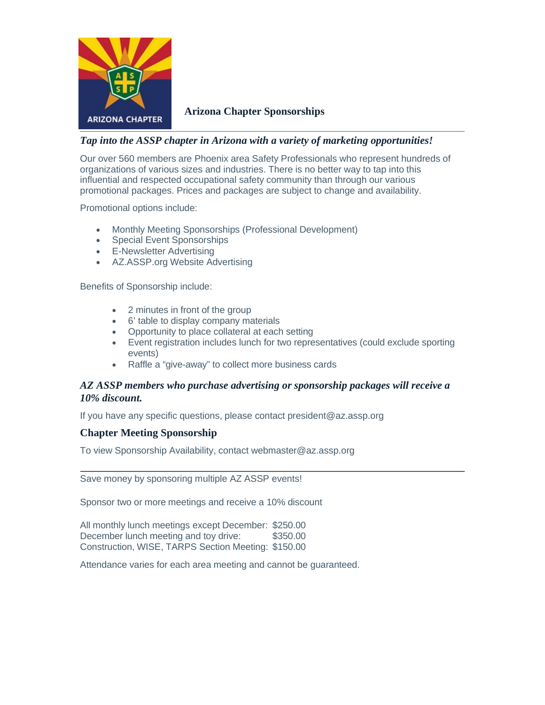

**Arizona Chapter Sponsorships**

## *Tap into the ASSP chapter in Arizona with a variety of marketing opportunities!*

Our over 560 members are Phoenix area Safety Professionals who represent hundreds of organizations of various sizes and industries. There is no better way to tap into this influential and respected occupational safety community than through our various promotional packages. Prices and packages are subject to change and availability.

Promotional options include:

- Monthly Meeting Sponsorships (Professional Development)
- Special Event Sponsorships
- E-Newsletter Advertising
- AZ.ASSP.org Website Advertising

Benefits of Sponsorship include:

- 2 minutes in front of the group
- 6' table to display company materials
- Opportunity to place collateral at each setting
- Event registration includes lunch for two representatives (could exclude sporting events)
- Raffle a "give-away" to collect more business cards

# *AZ ASSP members who purchase advertising or sponsorship packages will receive a 10% discount.*

If you have any specific questions, please contact [president@az.assp.org](mailto:president@az.assp.org)

### **Chapter Meeting Sponsorship**

To view Sponsorship Availability, contact [webmaster@az.assp.org](mailto:webmaster@az.assp.org)

Save money by sponsoring multiple AZ ASSP events!

Sponsor two or more meetings and receive a 10% discount

All monthly lunch meetings except December: \$250.00 December lunch meeting and toy drive: \$350.00 Construction, WISE, TARPS Section Meeting: \$150.00

Attendance varies for each area meeting and cannot be guaranteed.